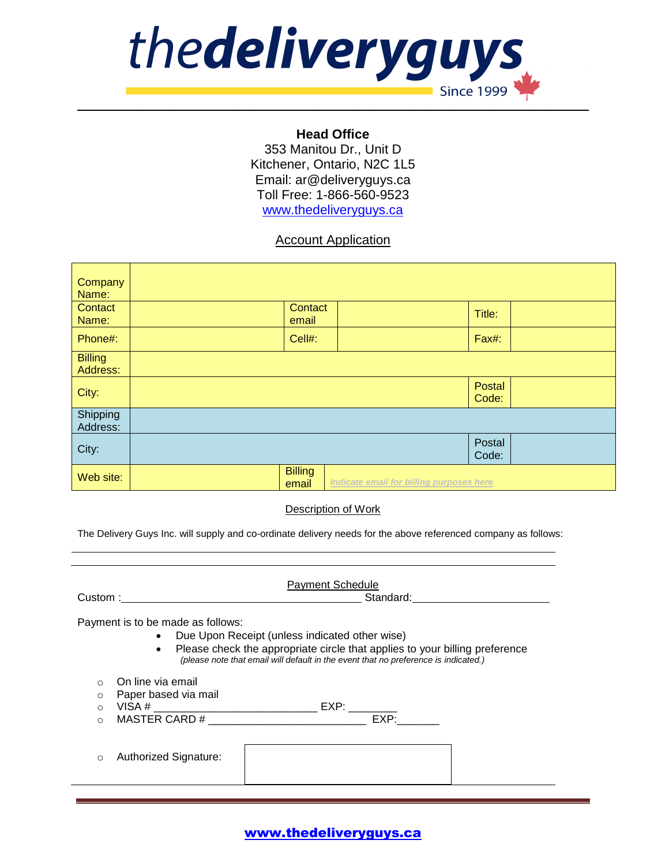

### **Head Office**

353 Manitou Dr., Unit D Kitchener, Ontario, N2C 1L5 Email: ar@deliveryguys.ca Toll Free: 1-866-560-9523 [www.thedeliveryguys.ca](http://www.thedeliveryguys.ca/)

## Account Application

| Company        |                |                                          |        |  |
|----------------|----------------|------------------------------------------|--------|--|
| Name:          |                |                                          |        |  |
| Contact        | Contact        |                                          | Title: |  |
| Name:          | email          |                                          |        |  |
| Phone#:        | Cell#:         |                                          | Fax#:  |  |
|                |                |                                          |        |  |
| <b>Billing</b> |                |                                          |        |  |
| Address:       |                |                                          |        |  |
|                |                |                                          | Postal |  |
| City:          |                |                                          | Code:  |  |
| Shipping       |                |                                          |        |  |
| Address:       |                |                                          |        |  |
|                |                |                                          |        |  |
| City:          |                |                                          | Postal |  |
|                |                |                                          | Code:  |  |
|                | <b>Billing</b> |                                          |        |  |
| Web site:      | email          | Indicate email for billing purposes here |        |  |

#### Description of Work

The Delivery Guys Inc. will supply and co-ordinate delivery needs for the above referenced company as follows:

| Custom:                                                                                                                                                                                                                                                       | <b>Payment Schedule</b><br>Standard: |  |  |  |  |
|---------------------------------------------------------------------------------------------------------------------------------------------------------------------------------------------------------------------------------------------------------------|--------------------------------------|--|--|--|--|
| Payment is to be made as follows:<br>• Due Upon Receipt (unless indicated other wise)<br>• Please check the appropriate circle that applies to your billing preference<br>(please note that email will default in the event that no preference is indicated.) |                                      |  |  |  |  |
| On line via email<br>∩<br>Paper based via mail<br>O<br>$\Omega$<br>$\Omega$<br>Authorized Signature:<br>O                                                                                                                                                     | EXP:                                 |  |  |  |  |
|                                                                                                                                                                                                                                                               |                                      |  |  |  |  |

# www.thedeliveryguys.ca